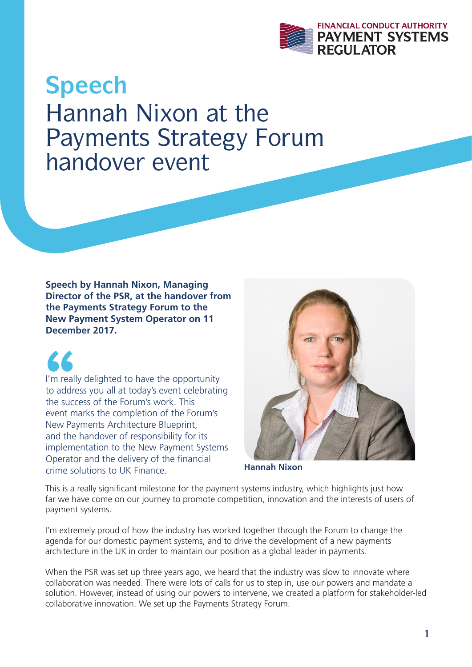

## **Speech** Hannah Nixon at the Payments Strategy Forum handover event

**Speech by Hannah Nixon, Managing Director of the PSR, at the handover from the Payments Strategy Forum to the New Payment System Operator on 11 December 2017.**

 $\begin{array}{c} \bigcup_{r=1}^{\infty} \mathbb{Z}^r \ \mathbb{Z}^r \ \mathbb{Z}^r \ \mathbb{Z}^r \ \mathbb{Z}^r \ \mathbb{Z}^r \end{array}$ I'm really delighted to have the opportunity to address you all at today's event celebrating the success of the Forum's work. This event marks the completion of the Forum's New Payments Architecture Blueprint, and the handover of responsibility for its implementation to the New Payment Systems Operator and the delivery of the financial crime solutions to UK Finance.



**Hannah Nixon**

This is a really significant milestone for the payment systems industry, which highlights just how far we have come on our journey to promote competition, innovation and the interests of users of payment systems.

I'm extremely proud of how the industry has worked together through the Forum to change the agenda for our domestic payment systems, and to drive the development of a new payments architecture in the UK in order to maintain our position as a global leader in payments.

When the PSR was set up three years ago, we heard that the industry was slow to innovate where collaboration was needed. There were lots of calls for us to step in, use our powers and mandate a solution. However, instead of using our powers to intervene, we created a platform for stakeholder-led collaborative innovation. We set up the Payments Strategy Forum.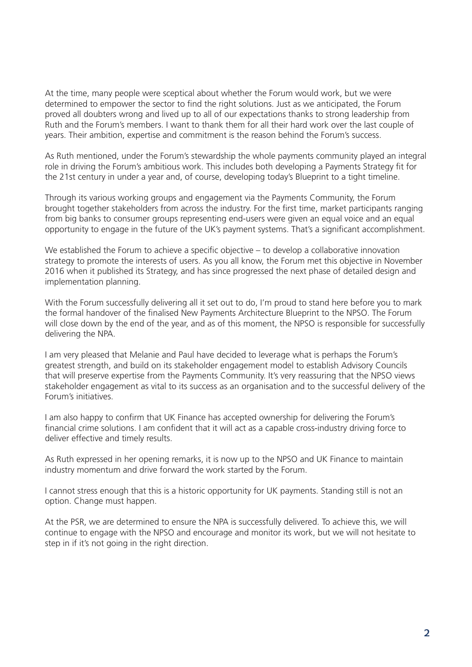At the time, many people were sceptical about whether the Forum would work, but we were determined to empower the sector to find the right solutions. Just as we anticipated, the Forum proved all doubters wrong and lived up to all of our expectations thanks to strong leadership from Ruth and the Forum's members. I want to thank them for all their hard work over the last couple of years. Their ambition, expertise and commitment is the reason behind the Forum's success.

As Ruth mentioned, under the Forum's stewardship the whole payments community played an integral role in driving the Forum's ambitious work. This includes both developing a Payments Strategy fit for the 21st century in under a year and, of course, developing today's Blueprint to a tight timeline.

Through its various working groups and engagement via the Payments Community, the Forum brought together stakeholders from across the industry. For the first time, market participants ranging from big banks to consumer groups representing end-users were given an equal voice and an equal opportunity to engage in the future of the UK's payment systems. That's a significant accomplishment.

We established the Forum to achieve a specific objective – to develop a collaborative innovation strategy to promote the interests of users. As you all know, the Forum met this objective in November 2016 when it published its Strategy, and has since progressed the next phase of detailed design and implementation planning.

With the Forum successfully delivering all it set out to do, I'm proud to stand here before you to mark the formal handover of the finalised New Payments Architecture Blueprint to the NPSO. The Forum will close down by the end of the year, and as of this moment, the NPSO is responsible for successfully delivering the NPA.

I am very pleased that Melanie and Paul have decided to leverage what is perhaps the Forum's greatest strength, and build on its stakeholder engagement model to establish Advisory Councils that will preserve expertise from the Payments Community. It's very reassuring that the NPSO views stakeholder engagement as vital to its success as an organisation and to the successful delivery of the Forum's initiatives.

I am also happy to confirm that UK Finance has accepted ownership for delivering the Forum's financial crime solutions. I am confident that it will act as a capable cross-industry driving force to deliver effective and timely results.

As Ruth expressed in her opening remarks, it is now up to the NPSO and UK Finance to maintain industry momentum and drive forward the work started by the Forum.

I cannot stress enough that this is a historic opportunity for UK payments. Standing still is not an option. Change must happen.

At the PSR, we are determined to ensure the NPA is successfully delivered. To achieve this, we will continue to engage with the NPSO and encourage and monitor its work, but we will not hesitate to step in if it's not going in the right direction.